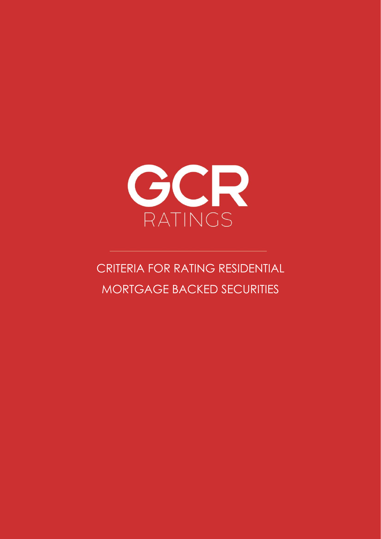

# CRITERIA FOR RATING RESIDENTIAL MORTGAGE BACKED SECURITIES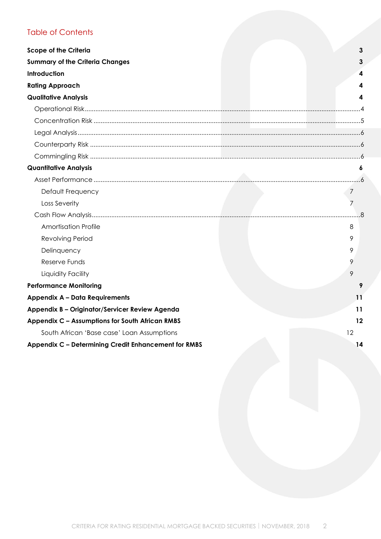# Table of Contents

| <b>Scope of the Criteria</b>                         | 3              |
|------------------------------------------------------|----------------|
| <b>Summary of the Criteria Changes</b>               |                |
| Introduction                                         |                |
|                                                      |                |
| <b>Rating Approach</b>                               |                |
| <b>Qualitative Analysis</b>                          |                |
|                                                      |                |
|                                                      |                |
|                                                      |                |
|                                                      |                |
|                                                      |                |
| <b>Quantitative Analysis</b>                         |                |
|                                                      |                |
| Default Frequency                                    | 7              |
| Loss Severity                                        | $\overline{7}$ |
|                                                      |                |
| <b>Amortisation Profile</b>                          | 8              |
| <b>Revolving Period</b>                              | 9              |
| Delinquency                                          | 9              |
| Reserve Funds                                        | 9              |
| Liquidity Facility                                   | 9              |
| <b>Performance Monitoring</b>                        |                |
| <b>Appendix A - Data Requirements</b>                | 11             |
| Appendix B - Originator/Servicer Review Agenda       | 11             |
| Appendix C - Assumptions for South African RMBS      | 12             |
| South African 'Base case' Loan Assumptions           | 12             |
| Appendix C - Determining Credit Enhancement for RMBS | 14             |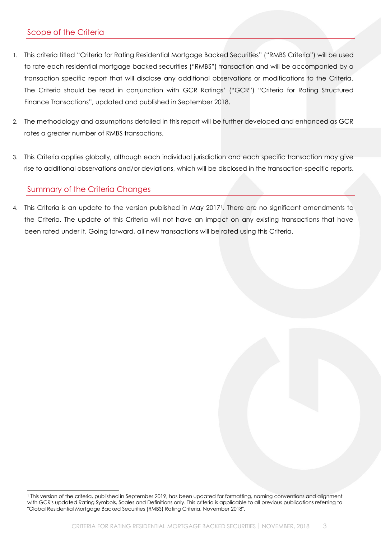# <span id="page-2-0"></span>Scope of the Criteria

- 1. This criteria titled "Criteria for Rating Residential Mortgage Backed Securities" ("RMBS Criteria") will be used to rate each residential mortgage backed securities ("RMBS") transaction and will be accompanied by a transaction specific report that will disclose any additional observations or modifications to the Criteria. The Criteria should be read in conjunction with GCR Ratings' ("GCR") "Criteria for Rating Structured Finance Transactions", updated and published in September 2018.
- 2. The methodology and assumptions detailed in this report will be further developed and enhanced as GCR rates a greater number of RMBS transactions.
- 3. This Criteria applies globally, although each individual jurisdiction and each specific transaction may give rise to additional observations and/or deviations, which will be disclosed in the transaction-specific reports.

# <span id="page-2-1"></span>Summary of the Criteria Changes

4. This Criteria is an update to the version published in May 20171. There are no significant amendments to the Criteria. The update of this Criteria will not have an impact on any existing transactions that have been rated under it. Going forward, all new transactions will be rated using this Criteria.

<sup>&</sup>lt;sup>1</sup> This version of the criteria, published in September 2019, has been updated for formatting, naming conventions and alignment with GCR's updated Rating Symbols, Scales and Definitions only. This criteria is applicable to all previous publications referring to "Global Residential Mortgage Backed Securities (RMBS) Rating Criteria, November 2018".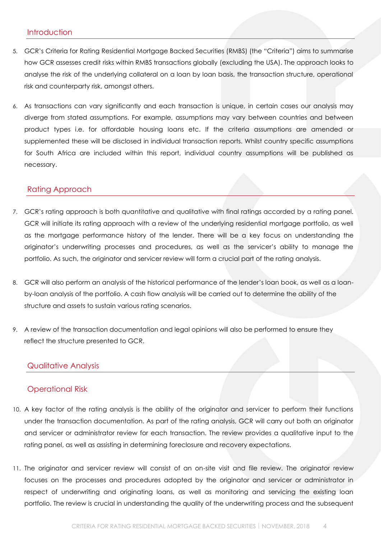## <span id="page-3-0"></span>**Introduction**

- 5. GCR's Criteria for Rating Residential Mortgage Backed Securities (RMBS) (the "Criteria") aims to summarise how GCR assesses credit risks within RMBS transactions globally (excluding the USA). The approach looks to analyse the risk of the underlying collateral on a loan by loan basis, the transaction structure, operational risk and counterparty risk, amongst others.
- 6. As transactions can vary significantly and each transaction is unique, in certain cases our analysis may diverge from stated assumptions. For example, assumptions may vary between countries and between product types i.e. for affordable housing loans etc. If the criteria assumptions are amended or supplemented these will be disclosed in individual transaction reports. Whilst country specific assumptions for South Africa are included within this report, individual country assumptions will be published as necessary.

## <span id="page-3-1"></span>Rating Approach

- 7. GCR's rating approach is both quantitative and qualitative with final ratings accorded by a rating panel. GCR will initiate its rating approach with a review of the underlying residential mortgage portfolio, as well as the mortgage performance history of the lender. There will be a key focus on understanding the originator's underwriting processes and procedures, as well as the servicer's ability to manage the portfolio. As such, the originator and servicer review will form a crucial part of the rating analysis.
- 8. GCR will also perform an analysis of the historical performance of the lender's loan book, as well as a loanby-loan analysis of the portfolio. A cash flow analysis will be carried out to determine the ability of the structure and assets to sustain various rating scenarios.
- 9. A review of the transaction documentation and legal opinions will also be performed to ensure they reflect the structure presented to GCR.

## <span id="page-3-2"></span>Qualitative Analysis

## <span id="page-3-3"></span>Operational Risk

- 10. A key factor of the rating analysis is the ability of the originator and servicer to perform their functions under the transaction documentation. As part of the rating analysis, GCR will carry out both an originator and servicer or administrator review for each transaction. The review provides a qualitative input to the rating panel, as well as assisting in determining foreclosure and recovery expectations.
- 11. The originator and servicer review will consist of an on-site visit and file review. The originator review focuses on the processes and procedures adopted by the originator and servicer or administrator in respect of underwriting and originating loans, as well as monitoring and servicing the existing loan portfolio. The review is crucial in understanding the quality of the underwriting process and the subsequent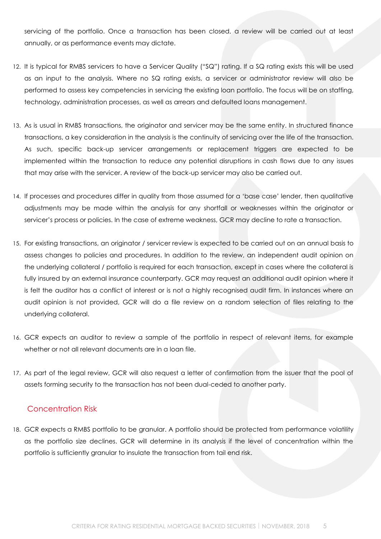servicing of the portfolio. Once a transaction has been closed, a review will be carried out at least annually, or as performance events may dictate.

- 12. It is typical for RMBS servicers to have a Servicer Quality ("SQ") rating. If a SQ rating exists this will be used as an input to the analysis. Where no SQ rating exists, a servicer or administrator review will also be performed to assess key competencies in servicing the existing loan portfolio. The focus will be on staffing, technology, administration processes, as well as arrears and defaulted loans management.
- 13. As is usual in RMBS transactions, the originator and servicer may be the same entity. In structured finance transactions, a key consideration in the analysis is the continuity of servicing over the life of the transaction. As such, specific back-up servicer arrangements or replacement triggers are expected to be implemented within the transaction to reduce any potential disruptions in cash flows due to any issues that may arise with the servicer. A review of the back-up servicer may also be carried out.
- 14. If processes and procedures differ in quality from those assumed for a 'base case' lender, then qualitative adjustments may be made within the analysis for any shortfall or weaknesses within the originator or servicer's process or policies. In the case of extreme weakness, GCR may decline to rate a transaction.
- 15. For existing transactions, an originator / servicer review is expected to be carried out on an annual basis to assess changes to policies and procedures. In addition to the review, an independent audit opinion on the underlying collateral / portfolio is required for each transaction, except in cases where the collateral is fully insured by an external insurance counterparty. GCR may request an additional audit opinion where it is felt the auditor has a conflict of interest or is not a highly recognised audit firm. In instances where an audit opinion is not provided, GCR will do a file review on a random selection of files relating to the underlying collateral.
- 16. GCR expects an auditor to review a sample of the portfolio in respect of relevant items, for example whether or not all relevant documents are in a loan file.
- 17. As part of the legal review, GCR will also request a letter of confirmation from the issuer that the pool of assets forming security to the transaction has not been dual-ceded to another party.

## <span id="page-4-0"></span>Concentration Risk

18. GCR expects a RMBS portfolio to be granular. A portfolio should be protected from performance volatility as the portfolio size declines. GCR will determine in its analysis if the level of concentration within the portfolio is sufficiently granular to insulate the transaction from tail end risk.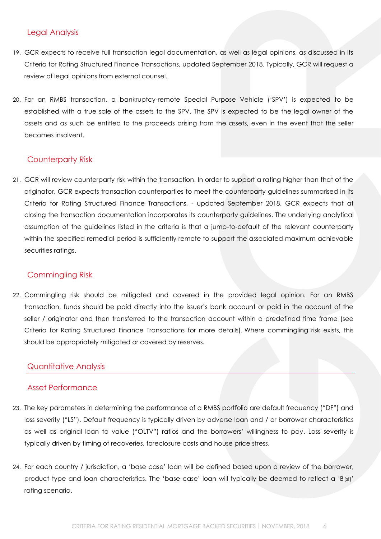# <span id="page-5-0"></span>Legal Analysis

- 19. GCR expects to receive full transaction legal documentation, as well as legal opinions, as discussed in its Criteria for Rating Structured Finance Transactions, updated September 2018. Typically, GCR will request a review of legal opinions from external counsel.
- 20. For an RMBS transaction, a bankruptcy-remote Special Purpose Vehicle ('SPV') is expected to be established with a true sale of the assets to the SPV. The SPV is expected to be the legal owner of the assets and as such be entitled to the proceeds arising from the assets, even in the event that the seller becomes insolvent.

## <span id="page-5-1"></span>Counterparty Risk

21. GCR will review counterparty risk within the transaction. In order to support a rating higher than that of the originator, GCR expects transaction counterparties to meet the counterparty guidelines summarised in its Criteria for Rating Structured Finance Transactions, - updated September 2018. GCR expects that at closing the transaction documentation incorporates its counterparty guidelines. The underlying analytical assumption of the guidelines listed in the criteria is that a jump-to-default of the relevant counterparty within the specified remedial period is sufficiently remote to support the associated maximum achievable securities ratings.

# <span id="page-5-2"></span>Commingling Risk

22. Commingling risk should be mitigated and covered in the provided legal opinion. For an RMBS transaction, funds should be paid directly into the issuer's bank account or paid in the account of the seller / originator and then transferred to the transaction account within a predefined time frame (see Criteria for Rating Structured Finance Transactions for more details). Where commingling risk exists, this should be appropriately mitigated or covered by reserves.

# <span id="page-5-3"></span>Quantitative Analysis

## <span id="page-5-4"></span>Asset Performance

- 23. The key parameters in determining the performance of a RMBS portfolio are default frequency ("DF") and loss severity ("LS"). Default frequency is typically driven by adverse loan and / or borrower characteristics as well as original loan to value ("OLTV") ratios and the borrowers' willingness to pay. Loss severity is typically driven by timing of recoveries, foreclosure costs and house price stress.
- 24. For each country / jurisdiction, a 'base case' loan will be defined based upon a review of the borrower, product type and loan characteristics. The 'base case' loan will typically be deemed to reflect a 'B(sf)' rating scenario.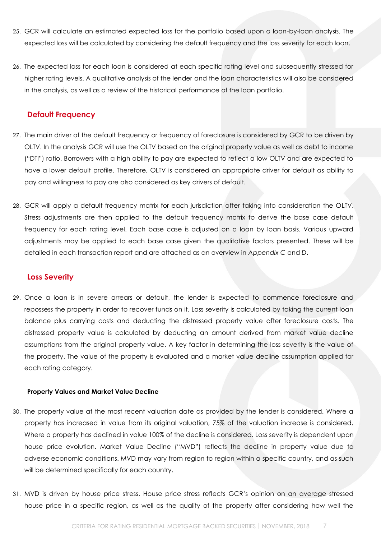- 25. GCR will calculate an estimated expected loss for the portfolio based upon a loan-by-loan analysis. The expected loss will be calculated by considering the default frequency and the loss severity for each loan.
- 26. The expected loss for each loan is considered at each specific rating level and subsequently stressed for higher rating levels. A qualitative analysis of the lender and the loan characteristics will also be considered in the analysis, as well as a review of the historical performance of the loan portfolio.

## <span id="page-6-0"></span>**Default Frequency**

- 27. The main driver of the default frequency or frequency of foreclosure is considered by GCR to be driven by OLTV. In the analysis GCR will use the OLTV based on the original property value as well as debt to income ("DTI") ratio. Borrowers with a high ability to pay are expected to reflect a low OLTV and are expected to have a lower default profile. Therefore, OLTV is considered an appropriate driver for default as ability to pay and willingness to pay are also considered as key drivers of default.
- 28. GCR will apply a default frequency matrix for each jurisdiction after taking into consideration the OLTV. Stress adjustments are then applied to the default frequency matrix to derive the base case default frequency for each rating level. Each base case is adjusted on a loan by loan basis. Various upward adjustments may be applied to each base case given the qualitative factors presented. These will be detailed in each transaction report and are attached as an overview in *Appendix C* and *D*.

## <span id="page-6-1"></span>**Loss Severity**

29. Once a loan is in severe arrears or default, the lender is expected to commence foreclosure and repossess the property in order to recover funds on it. Loss severity is calculated by taking the current loan balance plus carrying costs and deducting the distressed property value after foreclosure costs. The distressed property value is calculated by deducting an amount derived from market value decline assumptions from the original property value. A key factor in determining the loss severity is the value of the property. The value of the property is evaluated and a market value decline assumption applied for each rating category.

#### **Property Values and Market Value Decline**

- 30. The property value at the most recent valuation date as provided by the lender is considered. Where a property has increased in value from its original valuation, 75% of the valuation increase is considered. Where a property has declined in value 100% of the decline is considered. Loss severity is dependent upon house price evolution. Market Value Decline ("MVD") reflects the decline in property value due to adverse economic conditions. MVD may vary from region to region within a specific country, and as such will be determined specifically for each country.
- 31. MVD is driven by house price stress. House price stress reflects GCR's opinion on an average stressed house price in a specific region, as well as the quality of the property after considering how well the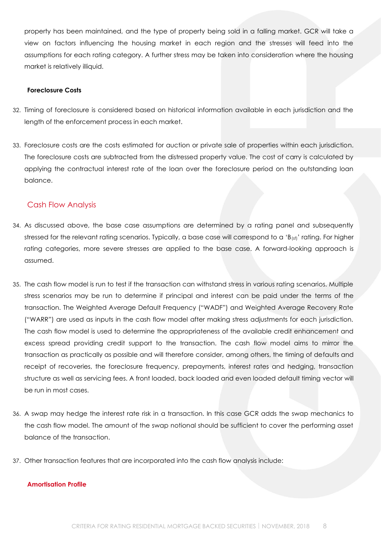property has been maintained, and the type of property being sold in a falling market. GCR will take a view on factors influencing the housing market in each region and the stresses will feed into the assumptions for each rating category. A further stress may be taken into consideration where the housing market is relatively illiquid.

#### **Foreclosure Costs**

- 32. Timing of foreclosure is considered based on historical information available in each jurisdiction and the length of the enforcement process in each market.
- 33. Foreclosure costs are the costs estimated for auction or private sale of properties within each jurisdiction. The foreclosure costs are subtracted from the distressed property value. The cost of carry is calculated by applying the contractual interest rate of the loan over the foreclosure period on the outstanding loan balance.

## <span id="page-7-0"></span>Cash Flow Analysis

- 34. As discussed above, the base case assumptions are determined by a rating panel and subsequently stressed for the relevant rating scenarios. Typically, a base case will correspond to a 'B<sub>(sf)</sub>' rating. For higher rating categories, more severe stresses are applied to the base case. A forward-looking approach is assumed.
- 35. The cash flow model is run to test if the transaction can withstand stress in various rating scenarios. Multiple stress scenarios may be run to determine if principal and interest can be paid under the terms of the transaction. The Weighted Average Default Frequency ("WADF") and Weighted Average Recovery Rate ("WARR") are used as inputs in the cash flow model after making stress adjustments for each jurisdiction. The cash flow model is used to determine the appropriateness of the available credit enhancement and excess spread providing credit support to the transaction. The cash flow model aims to mirror the transaction as practically as possible and will therefore consider, among others, the timing of defaults and receipt of recoveries, the foreclosure frequency, prepayments, interest rates and hedging, transaction structure as well as servicing fees. A front loaded, back loaded and even loaded default timing vector will be run in most cases.
- 36. A swap may hedge the interest rate risk in a transaction. In this case GCR adds the swap mechanics to the cash flow model. The amount of the swap notional should be sufficient to cover the performing asset balance of the transaction.
- 37. Other transaction features that are incorporated into the cash flow analysis include:

#### <span id="page-7-1"></span>**Amortisation Profile**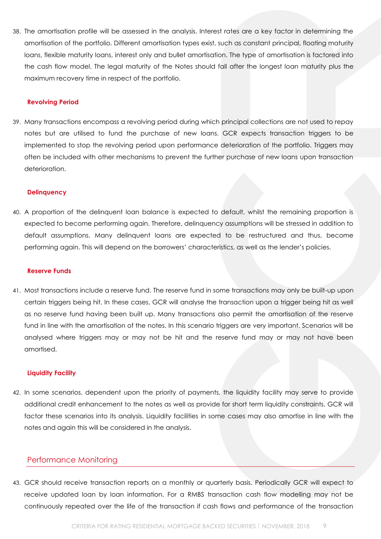38. The amortisation profile will be assessed in the analysis. Interest rates are a key factor in determining the amortisation of the portfolio. Different amortisation types exist, such as constant principal, floating maturity loans, flexible maturity loans, interest only and bullet amortisation. The type of amortisation is factored into the cash flow model. The legal maturity of the Notes should fall after the longest loan maturity plus the maximum recovery time in respect of the portfolio.

#### <span id="page-8-0"></span>**Revolving Period**

39. Many transactions encompass a revolving period during which principal collections are not used to repay notes but are utilised to fund the purchase of new loans. GCR expects transaction triggers to be implemented to stop the revolving period upon performance deterioration of the portfolio. Triggers may often be included with other mechanisms to prevent the further purchase of new loans upon transaction deterioration.

#### <span id="page-8-1"></span>**Delinquency**

40. A proportion of the delinquent loan balance is expected to default, whilst the remaining proportion is expected to become performing again. Therefore, delinquency assumptions will be stressed in addition to default assumptions. Many delinquent loans are expected to be restructured and thus, become performing again. This will depend on the borrowers' characteristics, as well as the lender's policies.

#### <span id="page-8-2"></span>**Reserve Funds**

41. Most transactions include a reserve fund. The reserve fund in some transactions may only be built-up upon certain triggers being hit. In these cases, GCR will analyse the transaction upon a trigger being hit as well as no reserve fund having been built up. Many transactions also permit the amortisation of the reserve fund in line with the amortisation of the notes. In this scenario triggers are very important. Scenarios will be analysed where triggers may or may not be hit and the reserve fund may or may not have been amortised.

#### <span id="page-8-3"></span>**Liquidity Facility**

42. In some scenarios, dependent upon the priority of payments, the liquidity facility may serve to provide additional credit enhancement to the notes as well as provide for short term liquidity constraints. GCR will factor these scenarios into its analysis. Liquidity facilities in some cases may also amortise in line with the notes and again this will be considered in the analysis.

## <span id="page-8-4"></span>Performance Monitoring

43. GCR should receive transaction reports on a monthly or quarterly basis. Periodically GCR will expect to receive updated loan by loan information. For a RMBS transaction cash flow modelling may not be continuously repeated over the life of the transaction if cash flows and performance of the transaction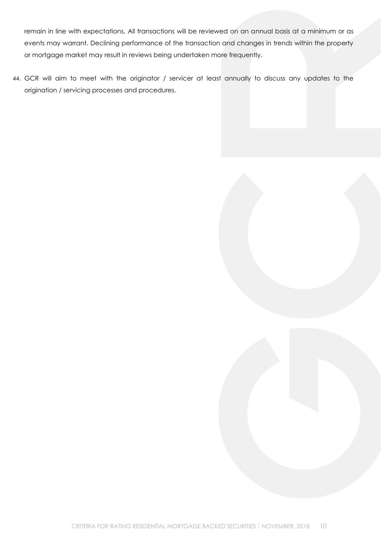remain in line with expectations. All transactions will be reviewed on an annual basis at a minimum or as events may warrant. Declining performance of the transaction and changes in trends within the property or mortgage market may result in reviews being undertaken more frequently.

44. GCR will aim to meet with the originator / servicer at least annually to discuss any updates to the origination / servicing processes and procedures.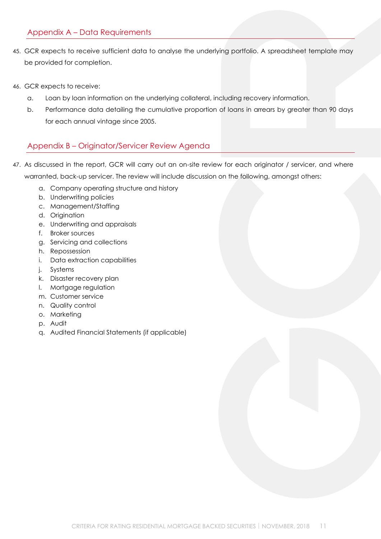# <span id="page-10-0"></span>Appendix A – Data Requirements

- 45. GCR expects to receive sufficient data to analyse the underlying portfolio. A spreadsheet template may be provided for completion.
- 46. GCR expects to receive:
	- a. Loan by loan information on the underlying collateral, including recovery information.
	- b. Performance data detailing the cumulative proportion of loans in arrears by greater than 90 days for each annual vintage since 2005.

## <span id="page-10-1"></span>Appendix B – Originator/Servicer Review Agenda

- 47. As discussed in the report, GCR will carry out an on-site review for each originator / servicer, and where warranted, back-up servicer. The review will include discussion on the following, amongst others:
	- a. Company operating structure and history
	- b. Underwriting policies
	- c. Management/Staffing
	- d. Origination
	- e. Underwriting and appraisals
	- f. Broker sources
	- g. Servicing and collections
	- h. Repossession
	- i. Data extraction capabilities
	- j. Systems
	- k. Disaster recovery plan
	- l. Mortgage regulation
	- m. Customer service
	- n. Quality control
	- o. Marketing
	- p. Audit
	- q. Audited Financial Statements (if applicable)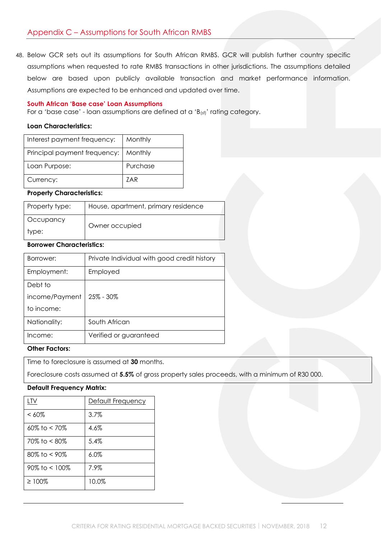<span id="page-11-0"></span>48. Below GCR sets out its assumptions for South African RMBS. GCR will publish further country specific assumptions when requested to rate RMBS transactions in other jurisdictions. The assumptions detailed below are based upon publicly available transaction and market performance information. Assumptions are expected to be enhanced and updated over time.

#### <span id="page-11-1"></span>**South African 'Base case' Loan Assumptions**

For a 'base case' - loan assumptions are defined at a 'B(sf)' rating category.

#### **Loan Characteristics:**

| Interest payment frequency:  | Monthly  |
|------------------------------|----------|
| Principal payment frequency: | Monthly  |
| Loan Purpose:                | Purchase |
| Currency:                    | 7AR      |

#### **Property Characteristics:**

| Property type: | House, apartment, primary residence |
|----------------|-------------------------------------|
| Occupancy      | Owner occupied                      |
| type:          |                                     |

## **Borrower Characteristics:**

| Borrower:      | Private Individual with good credit history |
|----------------|---------------------------------------------|
| Employment:    | Employed                                    |
| Debt to        |                                             |
| income/Payment | $25\% - 30\%$                               |
| to income:     |                                             |
| Nationality:   | South African                               |
| Income:        | Verified or guaranteed                      |

## **Other Factors:**

Time to foreclosure is assumed at **30** months.

Foreclosure costs assumed at **5.5%** of gross property sales proceeds, with a minimum of R30 000.

#### **Default Frequency Matrix:**

| LTV                 | Default Frequency |
|---------------------|-------------------|
| $< 60\%$            | 3.7%              |
| $60\%$ to $< 70\%$  | 4.6%              |
| 70% to < 80%        | $5.4\%$           |
| $80\%$ to < 90%     | $6.0\%$           |
| $90\%$ to $< 100\%$ | 7.9%              |
| $\geq 100\%$        | 10.0%             |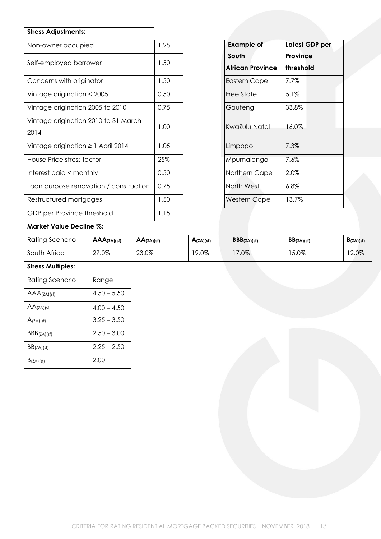# **Stress Adjustments:**

| Non-owner occupied                           | 1.25 | <b>Example of</b>                | Latest           |
|----------------------------------------------|------|----------------------------------|------------------|
| Self-employed borrower                       | 1.50 | South<br><b>African Province</b> | Provir<br>thresh |
| Concerns with originator                     | 1.50 | Eastern Cape                     | 7.7%             |
| Vintage origination < 2005                   | 0.50 | Free State                       | 5.1%             |
| Vintage origination 2005 to 2010             | 0.75 | Gauteng                          | 33.8%            |
| Vintage origination 2010 to 31 March<br>2014 | 1.00 | KwaZulu Natal                    | 16.0%            |
| Vintage origination $\geq 1$ April 2014      | 1.05 | Limpopo                          | 7.3%             |
| House Price stress factor                    | 25%  | Mpumalanga                       | 7.6%             |
| Interest paid < monthly                      | 0.50 | Northern Cape                    | 2.0%             |
| Loan purpose renovation / construction       | 0.75 | North West                       | 6.8%             |
| Restructured mortgages                       | 1.50 | <b>Western Cape</b>              | 13.7%            |
| GDP per Province threshold                   | 1.15 |                                  |                  |

| 1.25 | <b>Example of</b>       |  |                 | Latest GDP per |  |
|------|-------------------------|--|-----------------|----------------|--|
|      | South                   |  | <b>Province</b> |                |  |
| 1.50 | <b>African Province</b> |  | threshold       |                |  |
| 1.50 | Eastern Cape            |  | 7.7%            |                |  |
| 0.50 | Free State              |  | 5.1%            |                |  |
| 0.75 | Gauteng                 |  | 33.8%           |                |  |
| 1.00 | KwaZulu Natal           |  | 16.0%           |                |  |
| 1.05 | Limpopo                 |  | 7.3%            |                |  |
| 25%  | Mpumalanga              |  | 7.6%            |                |  |
| 0.50 | Northern Cape           |  | 2.0%            |                |  |
| 0.75 | North West              |  | $6.8\%$         |                |  |
| 1.50 | <b>Western Cape</b>     |  | 13.7%           |                |  |
|      |                         |  |                 |                |  |

## **Market Value Decline %:**

| Rating Scenario | $AAA$ $(ZA)(sf)$ | AA(ZA)(sf) | A(ZA)(sf) | BBB(ZA)(sf) | BB(ZA)(sf) | $\mathbf{B}(ZA)(sf)$ |
|-----------------|------------------|------------|-----------|-------------|------------|----------------------|
| South Africa    | $.0\%$<br>$\cap$ | 23.0%      | 9.0%      | $.0\%$      | 15.0%      | 12.0%                |

# **Stress Multiples:**

| <u>Rating Scenario</u> | <u>Range</u>  |
|------------------------|---------------|
| AAA(ZA)(sf)            | $4.50 - 5.50$ |
| AA(ZA)(sf)             | $4.00 - 4.50$ |
| A(ZA)(sf)              | $3.25 - 3.50$ |
| BBB(ZA)(sf)            | $2.50 - 3.00$ |
| BB(ZA)(sf)             | $2.25 - 2.50$ |
| B(ZA)(sf)              | 2.00          |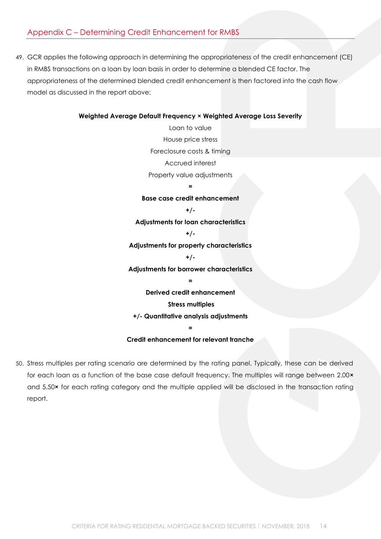# <span id="page-13-0"></span>Appendix C – Determining Credit Enhancement for RMBS

49. GCR applies the following approach in determining the appropriateness of the credit enhancement (CE) in RMBS transactions on a loan by loan basis in order to determine a blended CE factor. The appropriateness of the determined blended credit enhancement is then factored into the cash flow model as discussed in the report above:

#### **Weighted Average Default Frequency × Weighted Average Loss Severity**

Loan to value House price stress Foreclosure costs & timing Accrued interest Property value adjustments

**=**

**Base case credit enhancement +/- Adjustments for loan characteristics +/- Adjustments for property characteristics +/- Adjustments for borrower characteristics = Derived credit enhancement Stress multiples +/- Quantitative analysis adjustments**

# **= Credit enhancement for relevant tranche**

50. Stress multiples per rating scenario are determined by the rating panel. Typically, these can be derived for each loan as a function of the base case default frequency. The multiples will range between 2.00**×** and 5.50**×** for each rating category and the multiple applied will be disclosed in the transaction rating report.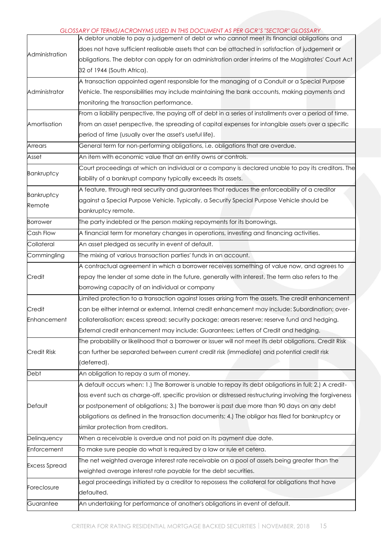#### *GLOSSARY OF TERMS/ACRONYMS USED IN THIS DOCUMENT AS PER GCR'S "SECTOR" GLOSSARY*

|                      | A debtor unable to pay a judgement of debt or who cannot meet its financial obligations and             |
|----------------------|---------------------------------------------------------------------------------------------------------|
|                      | does not have sufficient realisable assets that can be attached in satisfaction of judgement or         |
| Administration       | obligations. The debtor can apply for an administration order interims of the Magistrates' Court Act    |
|                      | 32 of 1944 (South Africa).                                                                              |
|                      | A transaction appointed agent responsible for the managing of a Conduit or a Special Purpose            |
| Administrator        | Vehicle. The responsibilities may include maintaining the bank accounts, making payments and            |
|                      | monitoring the transaction performance.                                                                 |
|                      | From a liability perspective, the paying off of debt in a series of installments over a period of time. |
| Amortisation         | From an asset perspective, the spreading of capital expenses for intangible assets over a specific      |
|                      | period of time (usually over the asset's useful life).                                                  |
| Arrears              | General term for non-performing obligations, i.e. obligations that are overdue.                         |
| Asset                | An item with economic value that an entity owns or controls.                                            |
|                      | Court proceedings at which an individual or a company is declared unable to pay its creditors. The      |
| Bankruptcy           | liability of a bankrupt company typically exceeds its assets.                                           |
|                      | A feature, through real security and guarantees that reduces the enforceability of a creditor           |
| Bankruptcy<br>Remote | against a Special Purpose Vehicle. Typically, a Security Special Purpose Vehicle should be              |
|                      | bankruptcy remote.                                                                                      |
| <b>Borrower</b>      | The party indebted or the person making repayments for its borrowings.                                  |
| Cash Flow            | A financial term for monetary changes in operations, investing and financing activities.                |
| Collateral           | An asset pledged as security in event of default.                                                       |
| Commingling          | The mixing of various transaction parties' funds in an account.                                         |
|                      | A contractual agreement in which a borrower receives something of value now, and agrees to              |
| Credit               | repay the lender at some date in the future, generally with interest. The term also refers to the       |
|                      | borrowing capacity of an individual or company                                                          |
|                      | Limited protection to a transaction against losses arising from the assets. The credit enhancement      |
| Credit               | can be either internal or external. Internal credit enhancement may include: Subordination; over-       |
| Enhancement          | collateralisation; excess spread; security package; arrears reserve; reserve fund and hedging.          |
|                      | External credit enhancement may include: Guarantees; Letters of Credit and hedging.                     |
|                      | The probability or likelihood that a borrower or issuer will not meet its debt obligations. Credit Risk |
| <b>Credit Risk</b>   | can further be separated between current credit risk (immediate) and potential credit risk              |
|                      | (deferred).                                                                                             |
| Debt                 | An obligation to repay a sum of money.                                                                  |
|                      | A default occurs when: 1.) The Borrower is unable to repay its debt obligations in full; 2.) A credit-  |
|                      | loss event such as charge-off, specific provision or distressed restructuring involving the forgiveness |
| Default              | or postponement of obligations; 3.) The borrower is past due more than 90 days on any debt              |
|                      | obligations as defined in the transaction documents; 4.) The obligor has filed for bankruptcy or        |
|                      | similar protection from creditors.                                                                      |
| Delinquency          | When a receivable is overdue and not paid on its payment due date.                                      |
| Enforcement          | To make sure people do what is required by a law or rule et cetera.                                     |
|                      | The net weighted average interest rate receivable on a pool of assets being greater than the            |
| <b>Excess Spread</b> | weighted average interest rate payable for the debt securities.                                         |
| Foreclosure          | Legal proceedings initiated by a creditor to repossess the collateral for obligations that have         |
|                      | defaulted.                                                                                              |
| Guarantee            | An undertaking for performance of another's obligations in event of default.                            |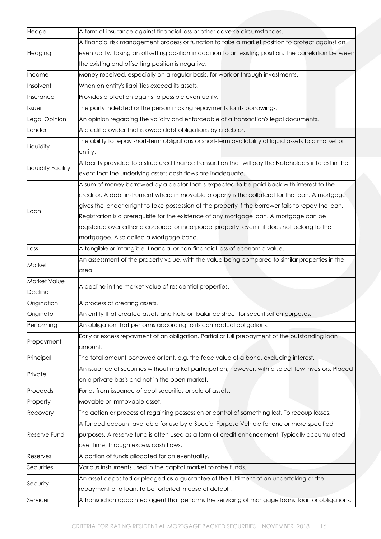| Hedge              | A form of insurance against financial loss or other adverse circumstances.                              |
|--------------------|---------------------------------------------------------------------------------------------------------|
|                    | A financial risk management process or function to take a market position to protect against an         |
| Hedging            | eventuality. Taking an offsetting position in addition to an existing position. The correlation between |
|                    | the existing and offsetting position is negative.                                                       |
| Income             | Money received, especially on a regular basis, for work or through investments.                         |
| Insolvent          | When an entity's liabilities exceed its assets.                                                         |
| Insurance          | Provides protection against a possible eventuality.                                                     |
| Issuer             | The party indebted or the person making repayments for its borrowings.                                  |
| Legal Opinion      | An opinion regarding the validity and enforceable of a transaction's legal documents.                   |
| ender              | A credit provider that is owed debt obligations by a debtor.                                            |
|                    | The ability to repay short-term obligations or short-term availability of liquid assets to a market or  |
| Liquidity          | entity.                                                                                                 |
|                    | A facility provided to a structured finance transaction that will pay the Noteholders interest in the   |
| Liquidity Facility | event that the underlying assets cash flows are inadequate.                                             |
|                    | A sum of money borrowed by a debtor that is expected to be paid back with interest to the               |
|                    | creditor. A debt instrument where immovable property is the collateral for the loan. A mortgage         |
|                    | gives the lender a right to take possession of the property if the borrower fails to repay the loan.    |
| .oan               | Registration is a prerequisite for the existence of any mortgage loan. A mortgage can be                |
|                    | registered over either a corporeal or incorporeal property, even if it does not belong to the           |
|                    | mortgagee. Also called a Mortgage bond.                                                                 |
| Loss               | A tangible or intangible, financial or non-financial loss of economic value.                            |
|                    | An assessment of the property value, with the value being compared to similar properties in the         |
| Market             | area.                                                                                                   |
| Market Value       | A decline in the market value of residential properties.                                                |
| Decline            |                                                                                                         |
| Origination        | A process of creating assets.                                                                           |
| Originator         | An entity that created assets and hold on balance sheet for securitisation purposes.                    |
| Performing         | An obligation that performs according to its contractual obligations.                                   |
|                    | Early or excess repayment of an obligation. Partial or full prepayment of the outstanding loan          |
| Prepayment         | amount.                                                                                                 |
| Principal          | The total amount borrowed or lent, e.g. the face value of a bond, excluding interest.                   |
|                    | An issuance of securities without market participation, however, with a select few investors. Placed    |
| Private            | on a private basis and not in the open market.                                                          |
| Proceeds           | Funds from issuance of debt securities or sale of assets.                                               |
| Property           | Movable or immovable asset.                                                                             |
| Recovery           | The action or process of regaining possession or control of something lost. To recoup losses.           |
|                    | A funded account available for use by a Special Purpose Vehicle for one or more specified               |
| Reserve Fund       | purposes. A reserve fund is often used as a form of credit enhancement. Typically accumulated           |
|                    | over time, through excess cash flows.                                                                   |
| Reserves           | A portion of funds allocated for an eventuality.                                                        |
| Securities         | Various instruments used in the capital market to raise funds.                                          |
|                    | An asset deposited or pledged as a guarantee of the fulfilment of an undertaking or the                 |
| Security           | repayment of a loan, to be forfeited in case of default.                                                |
| Servicer           | A transaction appointed agent that performs the servicing of mortgage loans, loan or obligations.       |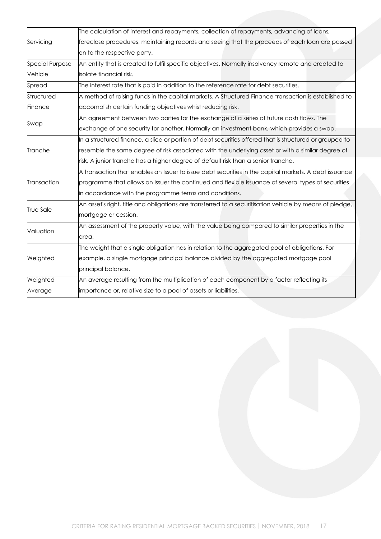|                        | The calculation of interest and repayments, collection of repayments, advancing of loans,               |  |  |  |
|------------------------|---------------------------------------------------------------------------------------------------------|--|--|--|
| Servicing              | foreclose procedures, maintaining records and seeing that the proceeds of each loan are passed          |  |  |  |
|                        | on to the respective party.                                                                             |  |  |  |
| <b>Special Purpose</b> | An entity that is created to fulfil specific objectives. Normally insolvency remote and created to      |  |  |  |
| Vehicle                | isolate financial risk.                                                                                 |  |  |  |
| Spread                 | The interest rate that is paid in addition to the reference rate for debt securities.                   |  |  |  |
| Structured             | A method of raising funds in the capital markets. A Structured Finance transaction is established to    |  |  |  |
| Finance                | accomplish certain funding objectives whist reducing risk.                                              |  |  |  |
| Swap                   | An agreement between two parties for the exchange of a series of future cash flows. The                 |  |  |  |
|                        | exchange of one security for another. Normally an investment bank, which provides a swap.               |  |  |  |
|                        | In a structured finance, a slice or portion of debt securities offered that is structured or grouped to |  |  |  |
| Tranche                | resemble the same degree of risk associated with the underlying asset or with a similar degree of       |  |  |  |
|                        | risk. A junior tranche has a higher degree of default risk than a senior tranche.                       |  |  |  |
|                        | A transaction that enables an Issuer to issue debt securities in the capital markets. A debt issuance   |  |  |  |
| Transaction            | programme that allows an Issuer the continued and flexible issuance of several types of securities      |  |  |  |
|                        | in accordance with the programme terms and conditions.                                                  |  |  |  |
| True Sale              | An asset's right, title and obligations are transferred to a securitisation vehicle by means of pledge, |  |  |  |
|                        | mortgage or cession.                                                                                    |  |  |  |
| Valuation              | An assessment of the property value, with the value being compared to similar properties in the         |  |  |  |
|                        | area.                                                                                                   |  |  |  |
|                        | The weight that a single obligation has in relation to the aggregated pool of obligations. For          |  |  |  |
| Weighted               | example, a single mortgage principal balance divided by the aggregated mortgage pool                    |  |  |  |
|                        | principal balance.                                                                                      |  |  |  |
| Weighted               | An average resulting from the multiplication of each component by a factor reflecting its               |  |  |  |
| Average                | importance or, relative size to a pool of assets or liabilities.                                        |  |  |  |